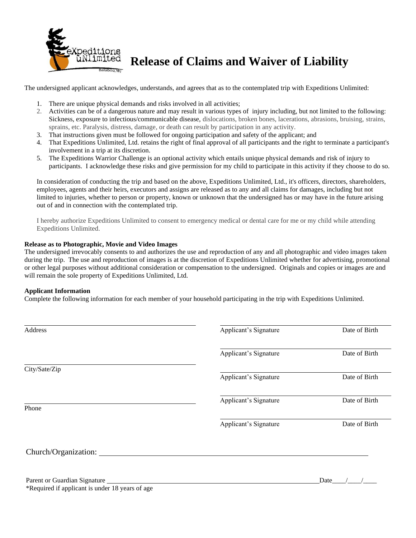

# **Release of Claims and Waiver of Liability**

The undersigned applicant acknowledges, understands, and agrees that as to the contemplated trip with Expeditions Unlimited:

- 1. There are unique physical demands and risks involved in all activities;
- 2. Activities can be of a dangerous nature and may result in various types of injury including, but not limited to the following: Sickness, exposure to infectious/communicable disease, dislocations, broken bones, lacerations, abrasions, bruising, strains, sprains, etc. Paralysis, distress, damage, or death can result by participation in any activity.
- 3. That instructions given must be followed for ongoing participation and safety of the applicant; and
- 4. That Expeditions Unlimited, Ltd. retains the right of final approval of all participants and the right to terminate a participant's involvement in a trip at its discretion.
- 5. The Expeditions Warrior Challenge is an optional activity which entails unique physical demands and risk of injury to participants. I acknowledge these risks and give permission for my child to participate in this activity if they choose to do so.

In consideration of conducting the trip and based on the above, Expeditions Unlimited, Ltd., it's officers, directors, shareholders, employees, agents and their heirs, executors and assigns are released as to any and all claims for damages, including but not limited to injuries, whether to person or property, known or unknown that the undersigned has or may have in the future arising out of and in connection with the contemplated trip.

I hereby authorize Expeditions Unlimited to consent to emergency medical or dental care for me or my child while attending Expeditions Unlimited.

### **Release as to Photographic, Movie and Video Images**

The undersigned irrevocably consents to and authorizes the use and reproduction of any and all photographic and video images taken during the trip. The use and reproduction of images is at the discretion of Expeditions Unlimited whether for advertising, promotional or other legal purposes without additional consideration or compensation to the undersigned. Originals and copies or images are and will remain the sole property of Expeditions Unlimited, Ltd.

#### **Applicant Information**

Complete the following information for each member of your household participating in the trip with Expeditions Unlimited.

| Address              | Applicant's Signature | Date of Birth |
|----------------------|-----------------------|---------------|
|                      | Applicant's Signature | Date of Birth |
| City/Sate/Zip        | Applicant's Signature | Date of Birth |
| Phone                | Applicant's Signature | Date of Birth |
|                      | Applicant's Signature | Date of Birth |
| Church/Organization: |                       |               |

Parent or Guardian Signature Date  $\Box$ \*Required if applicant is under 18 years of age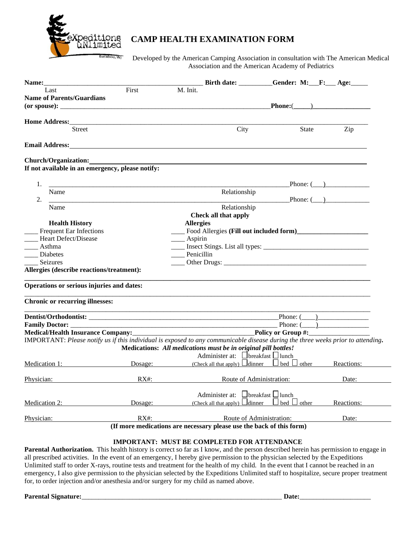

### **CAMP HEALTH EXAMINATION FORM**

Developed by the American Camping Association in consultation with The American Medical Association and the American Academy of Pediatrics

| <b>Name:</b>                                                                                                                                                                                                                                                                                                                    |                                           |                                                                                                                                                                                                    | Birth date: Gender: M: F: Age: |                 |
|---------------------------------------------------------------------------------------------------------------------------------------------------------------------------------------------------------------------------------------------------------------------------------------------------------------------------------|-------------------------------------------|----------------------------------------------------------------------------------------------------------------------------------------------------------------------------------------------------|--------------------------------|-----------------|
| Last                                                                                                                                                                                                                                                                                                                            | First                                     | M. Init.                                                                                                                                                                                           |                                |                 |
| <b>Name of Parents/Guardians</b>                                                                                                                                                                                                                                                                                                |                                           |                                                                                                                                                                                                    |                                |                 |
|                                                                                                                                                                                                                                                                                                                                 |                                           | Phone: ( )                                                                                                                                                                                         |                                |                 |
|                                                                                                                                                                                                                                                                                                                                 |                                           |                                                                                                                                                                                                    |                                |                 |
| <b>Street</b>                                                                                                                                                                                                                                                                                                                   |                                           |                                                                                                                                                                                                    |                                |                 |
|                                                                                                                                                                                                                                                                                                                                 |                                           | City                                                                                                                                                                                               | <b>State</b>                   | Zip             |
|                                                                                                                                                                                                                                                                                                                                 |                                           |                                                                                                                                                                                                    |                                |                 |
| Church/Organization:                                                                                                                                                                                                                                                                                                            |                                           |                                                                                                                                                                                                    |                                |                 |
| If not available in an emergency, please notify:                                                                                                                                                                                                                                                                                |                                           |                                                                                                                                                                                                    |                                |                 |
|                                                                                                                                                                                                                                                                                                                                 |                                           |                                                                                                                                                                                                    |                                |                 |
| 1.                                                                                                                                                                                                                                                                                                                              |                                           |                                                                                                                                                                                                    |                                | Phone: $(\_\_)$ |
| Name                                                                                                                                                                                                                                                                                                                            |                                           | Relationship                                                                                                                                                                                       |                                |                 |
| 2.                                                                                                                                                                                                                                                                                                                              |                                           |                                                                                                                                                                                                    |                                | Phone: $($ )    |
| Name<br>Relationship                                                                                                                                                                                                                                                                                                            |                                           |                                                                                                                                                                                                    |                                |                 |
|                                                                                                                                                                                                                                                                                                                                 |                                           | Check all that apply                                                                                                                                                                               |                                |                 |
|                                                                                                                                                                                                                                                                                                                                 | <b>Allergies</b><br><b>Health History</b> |                                                                                                                                                                                                    |                                |                 |
| <b>Frequent Ear Infections</b><br>Heart Defect/Disease                                                                                                                                                                                                                                                                          |                                           |                                                                                                                                                                                                    |                                |                 |
|                                                                                                                                                                                                                                                                                                                                 |                                           | Aspirin                                                                                                                                                                                            |                                |                 |
| Asthma                                                                                                                                                                                                                                                                                                                          |                                           |                                                                                                                                                                                                    |                                |                 |
| Diabetes                                                                                                                                                                                                                                                                                                                        |                                           | Penicillin                                                                                                                                                                                         |                                |                 |
| Seizures                                                                                                                                                                                                                                                                                                                        |                                           |                                                                                                                                                                                                    |                                |                 |
| Allergies (describe reactions/treatment):                                                                                                                                                                                                                                                                                       |                                           |                                                                                                                                                                                                    |                                |                 |
| Operations or serious injuries and dates:                                                                                                                                                                                                                                                                                       |                                           |                                                                                                                                                                                                    |                                |                 |
| <b>Chronic or recurring illnesses:</b>                                                                                                                                                                                                                                                                                          |                                           |                                                                                                                                                                                                    |                                |                 |
|                                                                                                                                                                                                                                                                                                                                 |                                           |                                                                                                                                                                                                    |                                |                 |
| Family Doctor: _________<br><b>Example 2.1 Phone:</b> (2.1) <b>Phone:</b> (2.1) <b>Phone:</b> (2.1) <b>Phone:</b> (2.1) <b>Phone:</b> (2.1) <b>Phone:</b> (2.1) <b>Phone:</b> (2.1) <b>Phone:</b> (2.1) <b>Phone:</b> (2.1) <b>Phone:</b> (2.1) <b>Phone:</b> (2.1) <b>Phone:</b> (2.1) <b>Phone:</b> (2.1) <b>Phone:</b> (2.1) |                                           | Phone: (                                                                                                                                                                                           |                                |                 |
|                                                                                                                                                                                                                                                                                                                                 |                                           |                                                                                                                                                                                                    |                                |                 |
|                                                                                                                                                                                                                                                                                                                                 |                                           |                                                                                                                                                                                                    |                                |                 |
|                                                                                                                                                                                                                                                                                                                                 |                                           | IMPORTANT: Please notify us if this individual is exposed to any communicable disease during the three weeks prior to attending.<br>Medications: All medications must be in original pill bottles! |                                |                 |
|                                                                                                                                                                                                                                                                                                                                 |                                           | Administer at: $\Box$ breakfast $\Box$ lunch                                                                                                                                                       |                                |                 |
| Medication 1:                                                                                                                                                                                                                                                                                                                   |                                           | Dosage: (Check all that apply) $\Box$ dinner $\Box$ bed $\Box$ other                                                                                                                               |                                | Reactions:      |
|                                                                                                                                                                                                                                                                                                                                 |                                           |                                                                                                                                                                                                    |                                |                 |
| Physician: RX#:                                                                                                                                                                                                                                                                                                                 |                                           |                                                                                                                                                                                                    | Route of Administration:       | Date:           |
|                                                                                                                                                                                                                                                                                                                                 |                                           |                                                                                                                                                                                                    |                                |                 |
|                                                                                                                                                                                                                                                                                                                                 |                                           | Administer at: Ubreakfast Ulunch                                                                                                                                                                   |                                |                 |
| Medication 2:                                                                                                                                                                                                                                                                                                                   | Dosage:                                   | (Check all that apply) $\Box$ dinner $\Box$ bed $\Box$ other                                                                                                                                       |                                | Reactions:      |
|                                                                                                                                                                                                                                                                                                                                 |                                           | Route of Administration:                                                                                                                                                                           |                                |                 |
| Physician:                                                                                                                                                                                                                                                                                                                      | $RX#$ :                                   |                                                                                                                                                                                                    |                                | Date:           |

### **IMPORTANT: MUST BE COMPLETED FOR ATTENDANCE**

**Parental Authorization.** This health history is correct so far as I know, and the person described herein has permission to engage in all prescribed activities. In the event of an emergency, I hereby give permission to the physician selected by the Expeditions Unlimited staff to order X-rays, routine tests and treatment for the health of my child. In the event that I cannot be reached in an emergency, I also give permission to the physician selected by the Expeditions Unlimited staff to hospitalize, secure proper treatment for, to order injection and/or anesthesia and/or surgery for my child as named above.